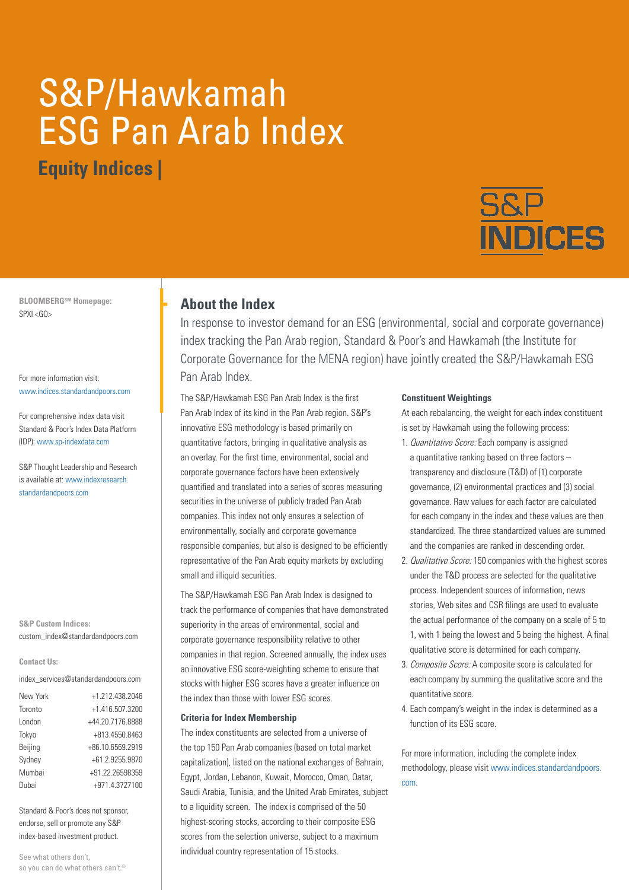# S&P/Hawkamah ESG Pan Arab Index **Equity Indices |**



**BLOOMBERGSM Homepage:** SPXI <GO>

For more information visit: www.indices.standardandpoors.com

For comprehensive index data visit Standard & Poor's Index Data Platform (IDP): www.sp-indexdata.com

S&P Thought Leadership and Research is available at: www.indexresearch. standardandpoors.com

**S&P Custom Indices:** custom\_index@standardandpoors.com

#### **Contact Us:**

index\_services@standardandpoors.com

| New York | +1.212.438.2046  |
|----------|------------------|
| Toronto  | +1.416.507.3200  |
| London   | +44.20.7176.8888 |
| Tokyo    | +813.4550.8463   |
| Beijing  | +86.10.6569.2919 |
| Sydney   | +61.2.9255.9870  |
| Mumbai   | +91.22.26598359  |
| Dubai    | +971.4.3727100   |

Standard & Poor's does not sponsor, endorse, sell or promote any S&P index-based investment product.

See what others don't, so you can do what others can't.®

## **About the Index**

In response to investor demand for an ESG (environmental, social and corporate governance) index tracking the Pan Arab region, Standard & Poor's and Hawkamah (the Institute for Corporate Governance for the MENA region) have jointly created the S&P/Hawkamah ESG Pan Arab Index.

The S&P/Hawkamah ESG Pan Arab Index is the first Pan Arab Index of its kind in the Pan Arab region. S&P's innovative ESG methodology is based primarily on quantitative factors, bringing in qualitative analysis as an overlay. For the first time, environmental, social and corporate governance factors have been extensively quantified and translated into a series of scores measuring securities in the universe of publicly traded Pan Arab companies. This index not only ensures a selection of environmentally, socially and corporate governance responsible companies, but also is designed to be efficiently representative of the Pan Arab equity markets by excluding small and illiquid securities.

The S&P/Hawkamah ESG Pan Arab Index is designed to track the performance of companies that have demonstrated superiority in the areas of environmental, social and corporate governance responsibility relative to other companies in that region. Screened annually, the index uses an innovative ESG score-weighting scheme to ensure that stocks with higher ESG scores have a greater influence on the index than those with lower ESG scores.

#### **Criteria for Index Membership**

The index constituents are selected from a universe of the top 150 Pan Arab companies (based on total market capitalization), listed on the national exchanges of Bahrain, Egypt, Jordan, Lebanon, Kuwait, Morocco, Oman, Qatar, Saudi Arabia, Tunisia, and the United Arab Emirates, subject to a liquidity screen. The index is comprised of the 50 highest-scoring stocks, according to their composite ESG scores from the selection universe, subject to a maximum individual country representation of 15 stocks.

#### **Constituent Weightings**

At each rebalancing, the weight for each index constituent is set by Hawkamah using the following process:

- 1. Quantitative Score: Each company is assigned a quantitative ranking based on three factors – transparency and disclosure (T&D) of (1) corporate governance, (2) environmental practices and (3) social governance. Raw values for each factor are calculated for each company in the index and these values are then standardized. The three standardized values are summed and the companies are ranked in descending order.
- 2. Qualitative Score: 150 companies with the highest scores under the T&D process are selected for the qualitative process. Independent sources of information, news stories, Web sites and CSR filings are used to evaluate the actual performance of the company on a scale of 5 to 1, with 1 being the lowest and 5 being the highest. A final qualitative score is determined for each company.
- 3. Composite Score: A composite score is calculated for each company by summing the qualitative score and the quantitative score.
- 4. Each company's weight in the index is determined as a function of its ESG score.

For more information, including the complete index methodology, please visit www.indices.standardandpoors. com.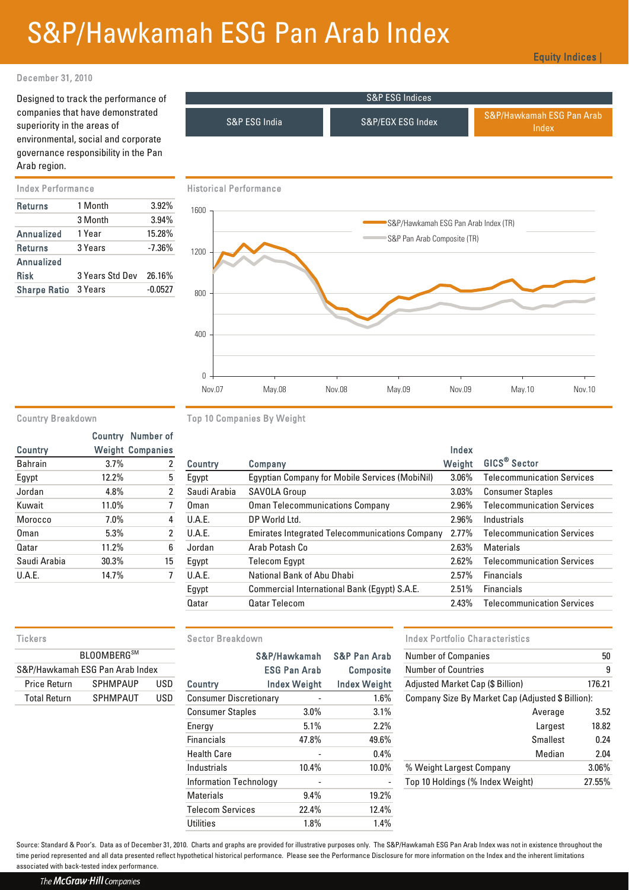## S&P/Hawkamah ESG Pan Arab Index

Equity Indices |

### December 31, 2010

Designed to track the performance of companies that have demonstrated superiority in the areas of environmental, social and corporate governance responsibility in the Pan Arab region.

| <b>Returns</b>      | 1 Month         | 3.92%     |  |
|---------------------|-----------------|-----------|--|
|                     | 3 Month         | 3.94%     |  |
| <b>Annualized</b>   | 1 Year          | 15.28%    |  |
| <b>Returns</b>      | 3 Years         | $-7.36%$  |  |
| Annualized          |                 |           |  |
| <b>Risk</b>         | 3 Years Std Dev | 26.16%    |  |
| <b>Sharpe Ratio</b> | 3 Years         | $-0.0527$ |  |



|                |       | <b>Country</b> Number of |
|----------------|-------|--------------------------|
| <b>Country</b> |       | <b>Weight Companies</b>  |
| <b>Bahrain</b> | 3.7%  | 2                        |
| Egypt          | 12.2% | 5                        |
| Jordan         | 4.8%  | $\overline{2}$           |
| Kuwait         | 11.0% | 7                        |
| Morocco        | 7.0%  | 4                        |
| Oman           | 5.3%  | $\overline{2}$           |
| Qatar          | 11.2% | 6                        |
| Saudi Arabia   | 30.3% | 15                       |
| <b>U.A.E.</b>  | 14.7% |                          |
|                |       |                          |

Country Breakdown Top 10 Companies By Weight

| Country       |       | <b>Weight Companies</b> |                |                                                       | Index    |                                   |
|---------------|-------|-------------------------|----------------|-------------------------------------------------------|----------|-----------------------------------|
| Bahrain       | 3.7%  | 2                       | <b>Country</b> | Company                                               | Weight   | GICS <sup>®</sup> Sector          |
| Egypt         | 12.2% | 5                       | Egypt          | <b>Egyptian Company for Mobile Services (MobiNil)</b> | $3.06\%$ | <b>Telecommunication Services</b> |
| Jordan        | 4.8%  |                         | Saudi Arabia   | <b>SAVOLA Group</b>                                   | $3.03\%$ | <b>Consumer Staples</b>           |
| Kuwait        | 11.0% |                         | Oman           | <b>Oman Telecommunications Company</b>                | 2.96%    | <b>Telecommunication Services</b> |
| Morocco       | 7.0%  | 4                       | <b>U.A.E.</b>  | DP World Ltd.                                         | 2.96%    | Industrials                       |
| Oman          | 5.3%  | 2                       | <b>U.A.E.</b>  | <b>Emirates Integrated Telecommunications Company</b> | $2.77\%$ | <b>Telecommunication Services</b> |
| Qatar         | 11.2% | 6                       | Jordan         | Arab Potash Co                                        | 2.63%    | Materials                         |
| Saudi Arabia  | 30.3% | 15                      | Egypt          | <b>Telecom Eqypt</b>                                  | 2.62%    | <b>Telecommunication Services</b> |
| <b>U.A.E.</b> | 14.7% |                         | U.A.E.         | National Bank of Abu Dhabi                            | 2.57%    | <b>Financials</b>                 |
|               |       |                         | Egypt          | Commercial International Bank (Egypt) S.A.E.          | 2.51%    | <b>Financials</b>                 |
|               |       |                         | Qatar          | <b>Qatar Telecom</b>                                  | 2.43%    | <b>Telecommunication Services</b> |
|               |       |                         |                |                                                       |          |                                   |

Nov.07 May.08 Nov.08 May.09 Nov.09 May.10 Nov.10

| <b>BLOOMBERG</b> SM             |                 |     |  |  |  |  |
|---------------------------------|-----------------|-----|--|--|--|--|
| S&P/Hawkamah ESG Pan Arab Index |                 |     |  |  |  |  |
| <b>Price Return</b>             | <b>SPHMPAUP</b> | USD |  |  |  |  |
| <b>Total Return</b>             | <b>SPHMPAUT</b> | USD |  |  |  |  |

| <b>BLOOMBERG</b> SM<br>S&P/Hawkamah ESG Pan Arab Index |                 |            |                               | S&P/Hawkamah        | <b>S&amp;P Pan Arab</b> | <b>Number of Companies</b>                        | 50     |
|--------------------------------------------------------|-----------------|------------|-------------------------------|---------------------|-------------------------|---------------------------------------------------|--------|
|                                                        |                 |            | <b>ESG Pan Arab</b>           |                     | <b>Composite</b>        | <b>Number of Countries</b>                        |        |
| <b>Price Return</b>                                    | <b>SPHMPAUP</b> | <b>USD</b> | Country                       | <b>Index Weight</b> | <b>Index Weight</b>     | Adjusted Market Cap (\$ Billion)                  | 176.21 |
| <b>Total Return</b>                                    | <b>SPHMPAUT</b> | USD        | <b>Consumer Discretionary</b> |                     | $1.6\%$                 | Company Size By Market Cap (Adjusted \$ Billion): |        |
|                                                        |                 |            | <b>Consumer Staples</b>       | $3.0\%$             | 3.1%                    | Average                                           | 3.52   |
|                                                        |                 |            | Energy                        | 5.1%                | 2.2%                    | Largest                                           | 18.82  |
|                                                        |                 |            | <b>Financials</b>             | 47.8%               | 49.6%                   | <b>Smallest</b>                                   | 0.24   |
|                                                        |                 |            | <b>Health Care</b>            |                     | 0.4%                    | Median                                            | 2.04   |
|                                                        |                 |            | Industrials                   | 10.4%               | $10.0\%$                | % Weight Largest Company                          | 3.06%  |
|                                                        |                 |            | <b>Information Technology</b> |                     |                         | Top 10 Holdings (% Index Weight)                  | 27.55% |
|                                                        |                 |            | Materials                     | 9.4%                | 19.2%                   |                                                   |        |
|                                                        |                 |            | <b>Telecom Services</b>       | 22.4%               | 12.4%                   |                                                   |        |
|                                                        |                 |            | <b>Utilities</b>              | 1.8%                | 1.4%                    |                                                   |        |
|                                                        |                 |            |                               |                     |                         |                                                   |        |

#### Tickers **Sector Breakdown** Sector Breakdown **Index Portfolio Characteristics**

|                               | S&P/Hawkamah        | <b>S&amp;P Pan Arab</b>  | <b>Number of Companies</b>                        | 50     |  |
|-------------------------------|---------------------|--------------------------|---------------------------------------------------|--------|--|
|                               | <b>ESG Pan Arab</b> | <b>Composite</b>         | <b>Number of Countries</b>                        | 9      |  |
| Country                       | <b>Index Weight</b> | Index Weight             | Adjusted Market Cap (\$ Billion)                  | 176.21 |  |
| <b>Consumer Discretionary</b> |                     | 1.6%                     | Company Size By Market Cap (Adjusted \$ Billion): |        |  |
| <b>Consumer Staples</b>       | $3.0\%$             | 3.1%                     | Average                                           | 3.52   |  |
| Energy                        | 5.1%                | 2.2%                     | Largest                                           | 18.82  |  |
| <b>Financials</b>             | 47.8%               | 49.6%                    | <b>Smallest</b>                                   | 0.24   |  |
| <b>Health Care</b>            |                     | $0.4\%$                  | Median                                            | 2.04   |  |
| Industrials                   | 10.4%               | 10.0%                    | % Weight Largest Company                          | 3.06%  |  |
| <b>Information Technology</b> | -                   | $\overline{\phantom{a}}$ | Top 10 Holdings (% Index Weight)                  | 27.55% |  |
| <b>M</b>                      | 0.101               | 10.001                   |                                                   |        |  |

Source: Standard & Poor's. Data as of December 31, 2010. Charts and graphs are provided for illustrative purposes only. The S&P/Hawkamah ESG Pan Arab Index was not in existence throughout the time period represented and all data presented reflect hypothetical historical performance. Please see the Performance Disclosure for more information on the Index and the inherent limitations associated with back-tested index performance.